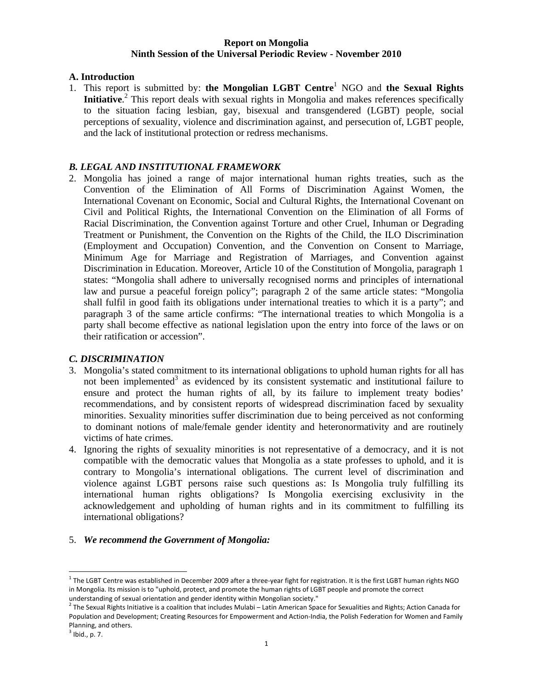#### **Report on Mongolia Ninth Session of the Universal Periodic Review - November 2010**

### **A. Introduction**

1. This report is submitted by: **the Mongolian LGBT Centre**<sup>1</sup> NGO and **the Sexual Rights** Initiative.<sup>2</sup> This report deals with sexual rights in Mongolia and makes references specifically to the situation facing lesbian, gay, bisexual and transgendered (LGBT) people, social perceptions of sexuality, violence and discrimination against, and persecution of, LGBT people, and the lack of institutional protection or redress mechanisms.

## *B. LEGAL AND INSTITUTIONAL FRAMEWORK*

2. Mongolia has joined a range of major international human rights treaties, such as the Convention of the Elimination of All Forms of Discrimination Against Women, the International Covenant on Economic, Social and Cultural Rights, the International Covenant on Civil and Political Rights, the International Convention on the Elimination of all Forms of Racial Discrimination, the Convention against Torture and other Cruel, Inhuman or Degrading Treatment or Punishment, the Convention on the Rights of the Child, the ILO Discrimination (Employment and Occupation) Convention, and the Convention on Consent to Marriage, Minimum Age for Marriage and Registration of Marriages, and Convention against Discrimination in Education. Moreover, Article 10 of the Constitution of Mongolia, paragraph 1 states: "Mongolia shall adhere to universally recognised norms and principles of international law and pursue a peaceful foreign policy"; paragraph 2 of the same article states: "Mongolia shall fulfil in good faith its obligations under international treaties to which it is a party"; and paragraph 3 of the same article confirms: "The international treaties to which Mongolia is a party shall become effective as national legislation upon the entry into force of the laws or on their ratification or accession".

## *C. DISCRIMINATION*

- 3. Mongolia's stated commitment to its international obligations to uphold human rights for all has not been implemented<sup>3</sup> as evidenced by its consistent systematic and institutional failure to ensure and protect the human rights of all, by its failure to implement treaty bodies' recommendations, and by consistent reports of widespread discrimination faced by sexuality minorities. Sexuality minorities suffer discrimination due to being perceived as not conforming to dominant notions of male/female gender identity and heteronormativity and are routinely victims of hate crimes.
- 4. Ignoring the rights of sexuality minorities is not representative of a democracy, and it is not compatible with the democratic values that Mongolia as a state professes to uphold, and it is contrary to Mongolia's international obligations. The current level of discrimination and violence against LGBT persons raise such questions as: Is Mongolia truly fulfilling its international human rights obligations? Is Mongolia exercising exclusivity in the acknowledgement and upholding of human rights and in its commitment to fulfilling its international obligations?

## 5. *We recommend the Government of Mongolia:*

 $^1$  The LGBT Centre was established in December 2009 after a three-year fight for registration. It is the first LGBT human rights NGO in Mongolia. Its mission is to "uphold, protect, and promote the human rights of LGBT people and promote the correct

understanding of sexual orientation and gender identity within Mongolian society." 2 The Sexualities and Rights; Action Canada for a <sup>2</sup> The Sexual Rights Initiative is a coalition that includes Mulabi – Latin American Spa Population and Development; Creating Resources for Empowerment and Action‐India, the Polish Federation for Women and Family Planning, and others.<br><sup>3</sup> Ibid., p. 7.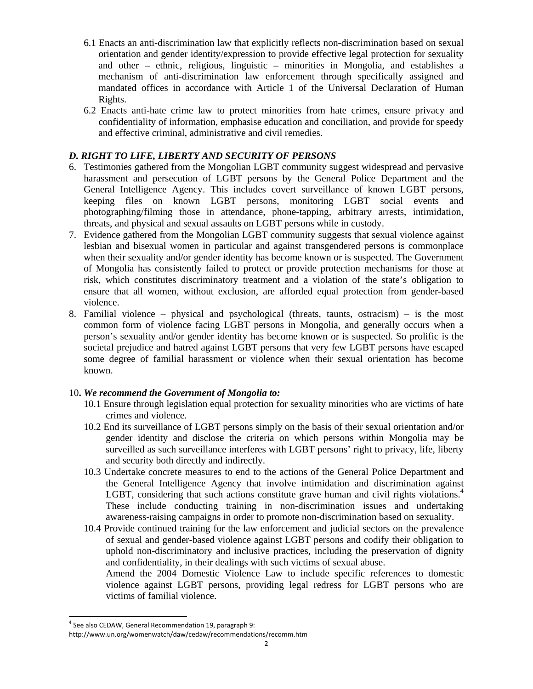- 6.1 Enacts an anti-discrimination law that explicitly reflects non-discrimination based on sexual orientation and gender identity/expression to provide effective legal protection for sexuality and other – ethnic, religious, linguistic – minorities in Mongolia, and establishes a mechanism of anti-discrimination law enforcement through specifically assigned and mandated offices in accordance with Article 1 of the Universal Declaration of Human Rights.
- 6.2 Enacts anti-hate crime law to protect minorities from hate crimes, ensure privacy and confidentiality of information, emphasise education and conciliation, and provide for speedy and effective criminal, administrative and civil remedies.

## *D. RIGHT TO LIFE, LIBERTY AND SECURITY OF PERSONS*

- 6. Testimonies gathered from the Mongolian LGBT community suggest widespread and pervasive harassment and persecution of LGBT persons by the General Police Department and the General Intelligence Agency. This includes covert surveillance of known LGBT persons, keeping files on known LGBT persons, monitoring LGBT social events and photographing/filming those in attendance, phone-tapping, arbitrary arrests, intimidation, threats, and physical and sexual assaults on LGBT persons while in custody.
- 7. Evidence gathered from the Mongolian LGBT community suggests that sexual violence against lesbian and bisexual women in particular and against transgendered persons is commonplace when their sexuality and/or gender identity has become known or is suspected. The Government of Mongolia has consistently failed to protect or provide protection mechanisms for those at risk, which constitutes discriminatory treatment and a violation of the state's obligation to ensure that all women, without exclusion, are afforded equal protection from gender-based violence.
- 8. Familial violence physical and psychological (threats, taunts, ostracism) is the most common form of violence facing LGBT persons in Mongolia, and generally occurs when a person's sexuality and/or gender identity has become known or is suspected. So prolific is the societal prejudice and hatred against LGBT persons that very few LGBT persons have escaped some degree of familial harassment or violence when their sexual orientation has become known.

## 10**.** *We recommend the Government of Mongolia to:*

- 10.1 Ensure through legislation equal protection for sexuality minorities who are victims of hate crimes and violence.
- 10.2 End its surveillance of LGBT persons simply on the basis of their sexual orientation and/or gender identity and disclose the criteria on which persons within Mongolia may be surveilled as such surveillance interferes with LGBT persons' right to privacy, life, liberty and security both directly and indirectly.
- 10.3 Undertake concrete measures to end to the actions of the General Police Department and the General Intelligence Agency that involve intimidation and discrimination against LGBT, considering that such actions constitute grave human and civil rights violations.<sup>4</sup> These include conducting training in non-discrimination issues and undertaking awareness-raising campaigns in order to promote non-discrimination based on sexuality.
- 10.4 Provide continued training for the law enforcement and judicial sectors on the prevalence of sexual and gender-based violence against LGBT persons and codify their obligation to uphold non-discriminatory and inclusive practices, including the preservation of dignity and confidentiality, in their dealings with such victims of sexual abuse.

 Amend the 2004 Domestic Violence Law to include specific references to domestic violence against LGBT persons, providing legal redress for LGBT persons who are victims of familial violence.

 $4$  See also CEDAW, General Recommendation 19, paragraph 9:

http://www.un.org/womenwatch/daw/cedaw/recommendations/recomm.htm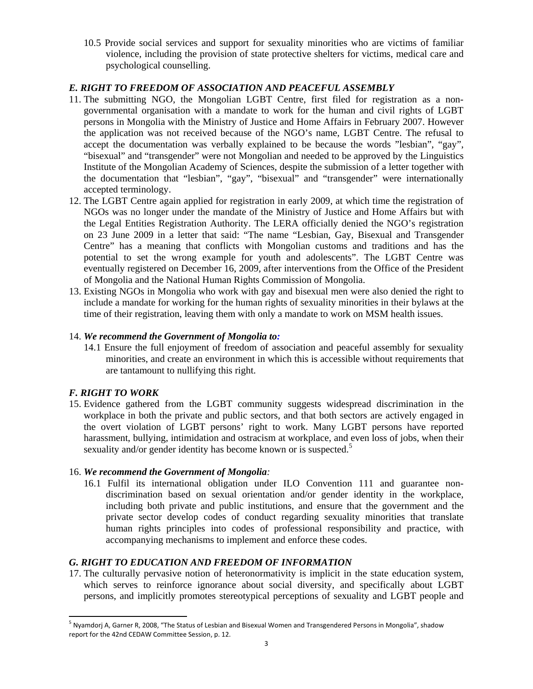10.5 Provide social services and support for sexuality minorities who are victims of familiar violence, including the provision of state protective shelters for victims, medical care and psychological counselling.

## *E. RIGHT TO FREEDOM OF ASSOCIATION AND PEACEFUL ASSEMBLY*

- 11. The submitting NGO, the Mongolian LGBT Centre, first filed for registration as a nongovernmental organisation with a mandate to work for the human and civil rights of LGBT persons in Mongolia with the Ministry of Justice and Home Affairs in February 2007. However the application was not received because of the NGO's name, LGBT Centre. The refusal to accept the documentation was verbally explained to be because the words "lesbian", "gay", "bisexual" and "transgender" were not Mongolian and needed to be approved by the Linguistics Institute of the Mongolian Academy of Sciences, despite the submission of a letter together with the documentation that "lesbian", "gay", "bisexual" and "transgender" were internationally accepted terminology.
- 12. The LGBT Centre again applied for registration in early 2009, at which time the registration of NGOs was no longer under the mandate of the Ministry of Justice and Home Affairs but with the Legal Entities Registration Authority. The LERA officially denied the NGO's registration on 23 June 2009 in a letter that said: "The name "Lesbian, Gay, Bisexual and Transgender Centre" has a meaning that conflicts with Mongolian customs and traditions and has the potential to set the wrong example for youth and adolescents". The LGBT Centre was eventually registered on December 16, 2009, after interventions from the Office of the President of Mongolia and the National Human Rights Commission of Mongolia.
- 13. Existing NGOs in Mongolia who work with gay and bisexual men were also denied the right to include a mandate for working for the human rights of sexuality minorities in their bylaws at the time of their registration, leaving them with only a mandate to work on MSM health issues.

### 14. *We recommend the Government of Mongolia to:*

14.1 Ensure the full enjoyment of freedom of association and peaceful assembly for sexuality minorities, and create an environment in which this is accessible without requirements that are tantamount to nullifying this right.

## *F. RIGHT TO WORK*

15. Evidence gathered from the LGBT community suggests widespread discrimination in the workplace in both the private and public sectors, and that both sectors are actively engaged in the overt violation of LGBT persons' right to work. Many LGBT persons have reported harassment, bullying, intimidation and ostracism at workplace, and even loss of jobs, when their sexuality and/or gender identity has become known or is suspected.<sup>5</sup>

#### 16. *We recommend the Government of Mongolia:*

16.1 Fulfil its international obligation under ILO Convention 111 and guarantee nondiscrimination based on sexual orientation and/or gender identity in the workplace, including both private and public institutions, and ensure that the government and the private sector develop codes of conduct regarding sexuality minorities that translate human rights principles into codes of professional responsibility and practice, with accompanying mechanisms to implement and enforce these codes.

## *G. RIGHT TO EDUCATION AND FREEDOM OF INFORMATION*

17. The culturally pervasive notion of heteronormativity is implicit in the state education system, which serves to reinforce ignorance about social diversity, and specifically about LGBT persons, and implicitly promotes stereotypical perceptions of sexuality and LGBT people and

<sup>&</sup>lt;sup>5</sup> Nyamdorj A, Garner R, 2008, "The Status of Lesbian and Bisexual Women and Transgendered Persons in Mongolia", shadow report for the 42nd CEDAW Committee Session, p. 12.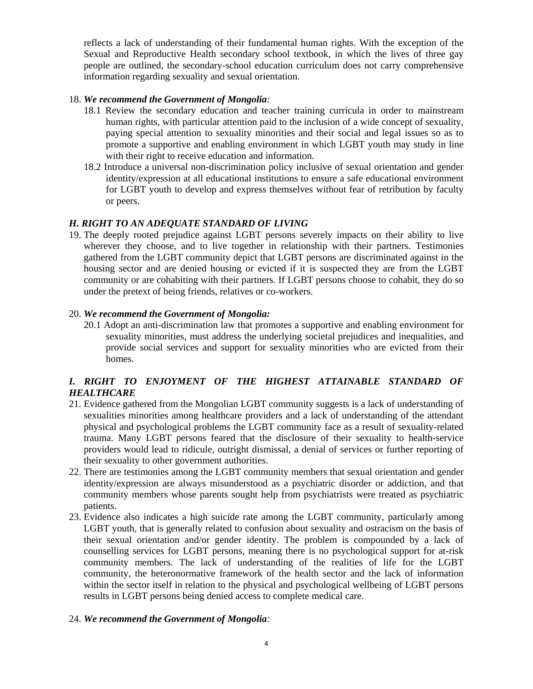reflects a lack of understanding of their fundamental human rights. With the exception of the Sexual and Reproductive Health secondary school textbook, in which the lives of three gay people are outlined, the secondary-school education curriculum does not carry comprehensive information regarding sexuality and sexual orientation.

## 18. *We recommend the Government of Mongolia:*

- 18.1 Review the secondary education and teacher training curricula in order to mainstream human rights, with particular attention paid to the inclusion of a wide concept of sexuality, paying special attention to sexuality minorities and their social and legal issues so as to promote a supportive and enabling environment in which LGBT youth may study in line with their right to receive education and information.
- 18.2 Introduce a universal non-discrimination policy inclusive of sexual orientation and gender identity/expression at all educational institutions to ensure a safe educational environment for LGBT youth to develop and express themselves without fear of retribution by faculty or peers.

# *H. RIGHT TO AN ADEQUATE STANDARD OF LIVING*

19. The deeply rooted prejudice against LGBT persons severely impacts on their ability to live wherever they choose, and to live together in relationship with their partners. Testimonies gathered from the LGBT community depict that LGBT persons are discriminated against in the housing sector and are denied housing or evicted if it is suspected they are from the LGBT community or are cohabiting with their partners. If LGBT persons choose to cohabit, they do so under the pretext of being friends, relatives or co-workers.

## 20. *We recommend the Government of Mongolia:*

20.1 Adopt an anti-discrimination law that promotes a supportive and enabling environment for sexuality minorities, must address the underlying societal prejudices and inequalities, and provide social services and support for sexuality minorities who are evicted from their homes.

# *I. RIGHT TO ENJOYMENT OF THE HIGHEST ATTAINABLE STANDARD OF HEALTHCARE*

- 21. Evidence gathered from the Mongolian LGBT community suggests is a lack of understanding of sexualities minorities among healthcare providers and a lack of understanding of the attendant physical and psychological problems the LGBT community face as a result of sexuality-related trauma. Many LGBT persons feared that the disclosure of their sexuality to health-service providers would lead to ridicule, outright dismissal, a denial of services or further reporting of their sexuality to other government authorities.
- 22. There are testimonies among the LGBT community members that sexual orientation and gender identity/expression are always misunderstood as a psychiatric disorder or addiction, and that community members whose parents sought help from psychiatrists were treated as psychiatric patients.
- 23. Evidence also indicates a high suicide rate among the LGBT community, particularly among LGBT youth, that is generally related to confusion about sexuality and ostracism on the basis of their sexual orientation and/or gender identity. The problem is compounded by a lack of counselling services for LGBT persons, meaning there is no psychological support for at-risk community members. The lack of understanding of the realities of life for the LGBT community, the heteronormative framework of the health sector and the lack of information within the sector itself in relation to the physical and psychological wellbeing of LGBT persons results in LGBT persons being denied access to complete medical care.

## 24. *We recommend the Government of Mongolia:*